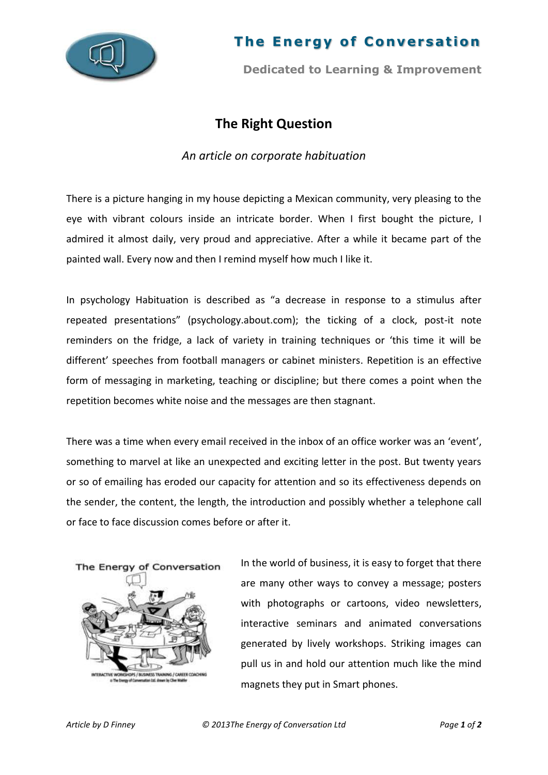

## **The Energy of Conversation**

**Dedicated to Learning & Improvement**

### **The Right Question**

### *An article on corporate habituation*

There is a picture hanging in my house depicting a Mexican community, very pleasing to the eye with vibrant colours inside an intricate border. When I first bought the picture, I admired it almost daily, very proud and appreciative. After a while it became part of the painted wall. Every now and then I remind myself how much I like it.

In psychology Habituation is described as "a decrease in response to a stimulus after repeated presentations" (psychology.about.com); the ticking of a clock, post-it note reminders on the fridge, a lack of variety in training techniques or 'this time it will be different' speeches from football managers or cabinet ministers. Repetition is an effective form of messaging in marketing, teaching or discipline; but there comes a point when the repetition becomes white noise and the messages are then stagnant.

There was a time when every email received in the inbox of an office worker was an 'event', something to marvel at like an unexpected and exciting letter in the post. But twenty years or so of emailing has eroded our capacity for attention and so its effectiveness depends on the sender, the content, the length, the introduction and possibly whether a telephone call or face to face discussion comes before or after it.



In the world of business, it is easy to forget that there are many other ways to convey a message; posters with photographs or cartoons, video newsletters, interactive seminars and animated conversations generated by lively workshops. Striking images can pull us in and hold our attention much like the mind magnets they put in Smart phones.